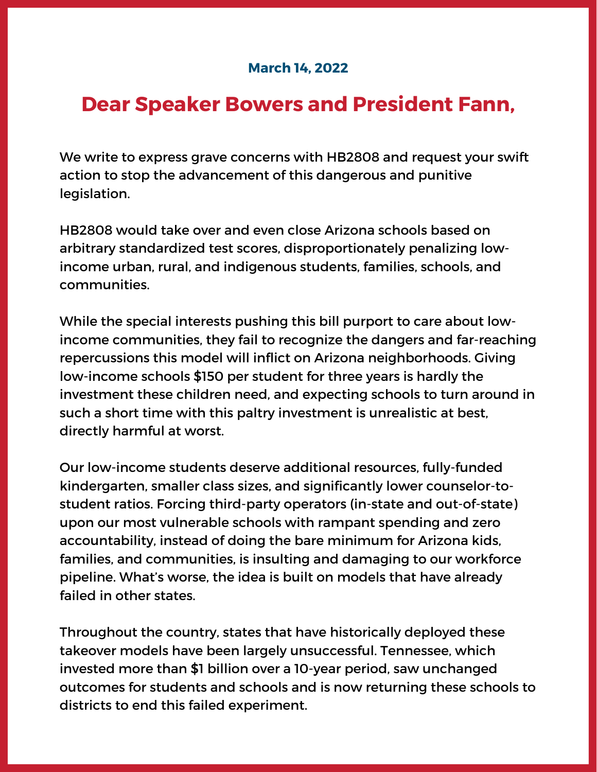## **March 14, 2022**

## **Dear Speaker Bowers and President Fann,**

We write to express grave concerns with HB2808 and request your swift action to stop the advancement of this dangerous and punitive legislation.

HB2808 would take over and even close Arizona schools based on arbitrary standardized test scores, disproportionately penalizing lowincome urban, rural, and indigenous students, families, schools, and communities.

While the special interests pushing this bill purport to care about lowincome communities, they fail to recognize the dangers and far-reaching repercussions this model will inflict on Arizona neighborhoods. Giving low-income schools \$150 per student for three years is hardly the investment these children need, and expecting schools to turn around in such a short time with this paltry investment is unrealistic at best, directly harmful at worst.

Our low-income students deserve additional resources, fully-funded kindergarten, smaller class sizes, and significantly lower counselor-tostudent ratios. Forcing third-party operators (in-state and out-of-state) upon our most vulnerable schools with rampant spending and zero accountability, instead of doing the bare minimum for Arizona kids, families, and communities, is insulting and damaging to our workforce pipeline. What's worse, the idea is built on models that have already failed in other states.

Throughout the country, states that have historically deployed these takeover models have been largely unsuccessful. Tennessee, which invested more than \$1 billion over a 10-year period, saw unchanged outcomes for students and schools and is now returning these schools to districts to end this failed experiment.